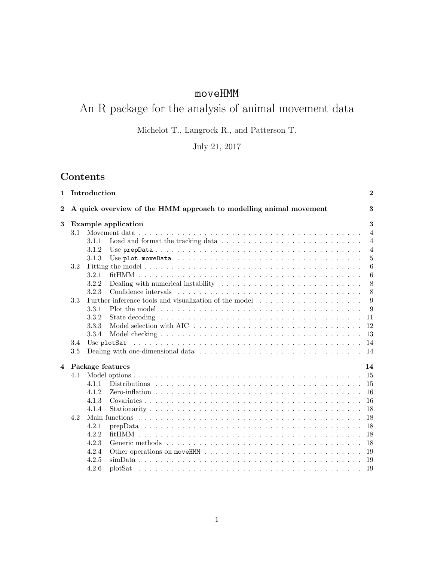# moveHMM

# An R package for the analysis of animal movement data

Michelot T., Langrock R., and Patterson T.

# July 21, 2017

# Contents

| $\mathbf{1}$   |     | Introduction |                                                                                                                     | $\mathbf{2}$    |
|----------------|-----|--------------|---------------------------------------------------------------------------------------------------------------------|-----------------|
| $\bf{2}$       |     |              | A quick overview of the HMM approach to modelling animal movement                                                   | 3               |
| 3              |     |              | <b>Example application</b>                                                                                          | 3               |
|                | 3.1 |              |                                                                                                                     | $\overline{4}$  |
|                |     | 3.1.1        |                                                                                                                     | $\overline{4}$  |
|                |     | 3.1.2        |                                                                                                                     | $\overline{4}$  |
|                |     | 3.1.3        |                                                                                                                     | $\bf 5$         |
|                | 3.2 |              |                                                                                                                     | 6               |
|                |     | 3.2.1        |                                                                                                                     | $6\phantom{.}6$ |
|                |     | 3.2.2        | Dealing with numerical instability $\ldots \ldots \ldots \ldots \ldots \ldots \ldots \ldots \ldots$                 | 8               |
|                |     | 3.2.3        |                                                                                                                     | 8               |
|                | 3.3 |              | Further inference tools and visualization of the model                                                              | 9               |
|                |     | 3.3.1        | Plot the model $\dots \dots \dots \dots \dots \dots \dots \dots \dots \dots \dots \dots \dots \dots \dots \dots$    | 9               |
|                |     | 3.3.2        |                                                                                                                     | 11              |
|                |     | 3.3.3        |                                                                                                                     | 12              |
|                |     | 3.3.4        |                                                                                                                     | 13              |
|                | 3.4 |              | Use plotSat $\dots \dots \dots \dots \dots \dots \dots \dots \dots \dots \dots \dots \dots \dots \dots \dots \dots$ | 14              |
|                | 3.5 |              |                                                                                                                     | 14              |
| $\overline{4}$ |     |              | Package features                                                                                                    | 14              |
|                | 4.1 |              |                                                                                                                     | 15              |
|                |     | 4 1 1        |                                                                                                                     | 15              |
|                |     | 4.1.2        |                                                                                                                     | -16             |
|                |     | 4.1.3        |                                                                                                                     | 16              |
|                |     | 4.1.4        |                                                                                                                     | 18              |
|                | 4.2 |              |                                                                                                                     | 18              |
|                |     | 4.2.1        |                                                                                                                     | 18              |
|                |     | 4.2.2        |                                                                                                                     | 18              |
|                |     | 4.2.3        |                                                                                                                     | 18              |
|                |     | 4.2.4        |                                                                                                                     | 19              |
|                |     |              |                                                                                                                     |                 |
|                |     | 4.2.5        |                                                                                                                     |                 |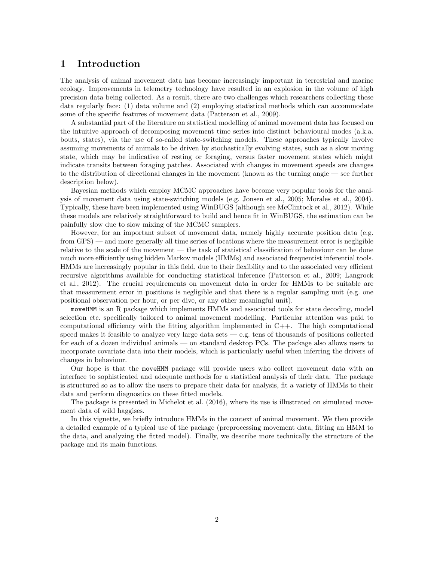# 1 Introduction

The analysis of animal movement data has become increasingly important in terrestrial and marine ecology. Improvements in telemetry technology have resulted in an explosion in the volume of high precision data being collected. As a result, there are two challenges which researchers collecting these data regularly face: (1) data volume and (2) employing statistical methods which can accommodate some of the specific features of movement data (Patterson et al., 2009).

A substantial part of the literature on statistical modelling of animal movement data has focused on the intuitive approach of decomposing movement time series into distinct behavioural modes (a.k.a. bouts, states), via the use of so-called state-switching models. These approaches typically involve assuming movements of animals to be driven by stochastically evolving states, such as a slow moving state, which may be indicative of resting or foraging, versus faster movement states which might indicate transits between foraging patches. Associated with changes in movement speeds are changes to the distribution of directional changes in the movement (known as the turning angle — see further description below).

Bayesian methods which employ MCMC approaches have become very popular tools for the analysis of movement data using state-switching models (e.g. Jonsen et al., 2005; Morales et al., 2004). Typically, these have been implemented using WinBUGS (although see McClintock et al., 2012). While these models are relatively straightforward to build and hence fit in WinBUGS, the estimation can be painfully slow due to slow mixing of the MCMC samplers.

However, for an important subset of movement data, namely highly accurate position data (e.g. from GPS) — and more generally all time series of locations where the measurement error is negligible relative to the scale of the movement — the task of statistical classification of behaviour can be done much more efficiently using hidden Markov models (HMMs) and associated frequentist inferential tools. HMMs are increasingly popular in this field, due to their flexibility and to the associated very efficient recursive algorithms available for conducting statistical inference (Patterson et al., 2009; Langrock et al., 2012). The crucial requirements on movement data in order for HMMs to be suitable are that measurement error in positions is negligible and that there is a regular sampling unit (e.g. one positional observation per hour, or per dive, or any other meaningful unit).

moveHMM is an R package which implements HMMs and associated tools for state decoding, model selection etc. specifically tailored to animal movement modelling. Particular attention was paid to computational efficiency with the fitting algorithm implemented in  $C++$ . The high computational speed makes it feasible to analyze very large data sets  $-e.g.$  tens of thousands of positions collected for each of a dozen individual animals — on standard desktop PCs. The package also allows users to incorporate covariate data into their models, which is particularly useful when inferring the drivers of changes in behaviour.

Our hope is that the moveHMM package will provide users who collect movement data with an interface to sophisticated and adequate methods for a statistical analysis of their data. The package is structured so as to allow the users to prepare their data for analysis, fit a variety of HMMs to their data and perform diagnostics on these fitted models.

The package is presented in Michelot et al. (2016), where its use is illustrated on simulated movement data of wild haggises.

In this vignette, we briefly introduce HMMs in the context of animal movement. We then provide a detailed example of a typical use of the package (preprocessing movement data, fitting an HMM to the data, and analyzing the fitted model). Finally, we describe more technically the structure of the package and its main functions.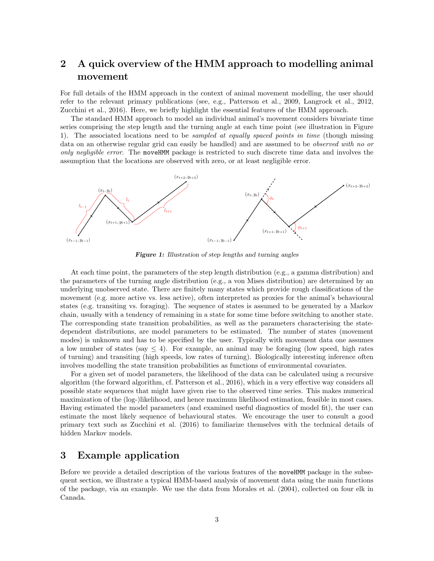# 2 A quick overview of the HMM approach to modelling animal movement

For full details of the HMM approach in the context of animal movement modelling, the user should refer to the relevant primary publications (see, e.g., Patterson et al., 2009, Langrock et al., 2012, Zucchini et al., 2016). Here, we briefly highlight the essential features of the HMM approach.

The standard HMM approach to model an individual animal's movement considers bivariate time series comprising the step length and the turning angle at each time point (see illustration in Figure 1). The associated locations need to be *sampled at equally spaced points in time* (though missing data on an otherwise regular grid can easily be handled) and are assumed to be *observed with no or only negligible error*. The moveHMM package is restricted to such discrete time data and involves the assumption that the locations are observed with zero, or at least negligible error.



Figure 1: Illustration of step lengths and turning angles

At each time point, the parameters of the step length distribution (e.g., a gamma distribution) and the parameters of the turning angle distribution (e.g., a von Mises distribution) are determined by an underlying unobserved state. There are finitely many states which provide rough classifications of the movement (e.g. more active vs. less active), often interpreted as proxies for the animal's behavioural states (e.g. transiting vs. foraging). The sequence of states is assumed to be generated by a Markov chain, usually with a tendency of remaining in a state for some time before switching to another state. The corresponding state transition probabilities, as well as the parameters characterising the statedependent distributions, are model parameters to be estimated. The number of states (movement modes) is unknown and has to be specified by the user. Typically with movement data one assumes a low number of states (say  $\leq 4$ ). For example, an animal may be foraging (low speed, high rates of turning) and transiting (high speeds, low rates of turning). Biologically interesting inference often involves modelling the state transition probabilities as functions of environmental covariates.

For a given set of model parameters, the likelihood of the data can be calculated using a recursive algorithm (the forward algorithm, cf. Patterson et al., 2016), which in a very effective way considers all possible state sequences that might have given rise to the observed time series. This makes numerical maximization of the (log-)likelihood, and hence maximum likelihood estimation, feasible in most cases. Having estimated the model parameters (and examined useful diagnostics of model fit), the user can estimate the most likely sequence of behavioural states. We encourage the user to consult a good primary text such as Zucchini et al. (2016) to familiarize themselves with the technical details of hidden Markov models.

# 3 Example application

Before we provide a detailed description of the various features of the moveHMM package in the subsequent section, we illustrate a typical HMM-based analysis of movement data using the main functions of the package, via an example. We use the data from Morales et al. (2004), collected on four elk in Canada.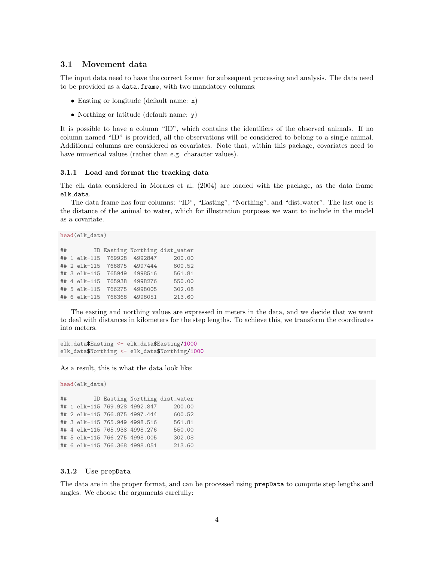### 3.1 Movement data

The input data need to have the correct format for subsequent processing and analysis. The data need to be provided as a data.frame, with two mandatory columns:

- Easting or longitude (default name: x)
- Northing or latitude (default name: y)

It is possible to have a column "ID", which contains the identifiers of the observed animals. If no column named "ID" is provided, all the observations will be considered to belong to a single animal. Additional columns are considered as covariates. Note that, within this package, covariates need to have numerical values (rather than e.g. character values).

#### 3.1.1 Load and format the tracking data

The elk data considered in Morales et al. (2004) are loaded with the package, as the data frame elk data.

The data frame has four columns: "ID", "Easting", "Northing", and "dist water". The last one is the distance of the animal to water, which for illustration purposes we want to include in the model as a covariate.

head(elk\_data)

| ## |  |                             | ID Easting Northing dist_water |
|----|--|-----------------------------|--------------------------------|
|    |  | ## 1 elk-115 769928 4992847 | 200.00                         |
|    |  | ## 2 elk-115 766875 4997444 | 600.52                         |
|    |  | ## 3 elk-115 765949 4998516 | 561.81                         |
|    |  | ## 4 elk-115 765938 4998276 | 550.00                         |
|    |  | ## 5 elk-115 766275 4998005 | 302.08                         |
|    |  | ## 6 elk-115 766368 4998051 | 213.60                         |

The easting and northing values are expressed in meters in the data, and we decide that we want to deal with distances in kilometers for the step lengths. To achieve this, we transform the coordinates into meters.

elk\_data\$Easting <- elk\_data\$Easting/1000 elk\_data\$Northing <- elk\_data\$Northing/1000

As a result, this is what the data look like:

```
head(elk_data)
```
## ID Easting Northing dist\_water ## 1 elk-115 769.928 4992.847 200.00 ## 2 elk-115 766.875 4997.444 600.52 ## 3 elk-115 765.949 4998.516 561.81 ## 4 elk-115 765.938 4998.276 550.00 ## 5 elk-115 766.275 4998.005 302.08 ## 6 elk-115 766.368 4998.051 213.60

#### 3.1.2 Use prepData

The data are in the proper format, and can be processed using prepData to compute step lengths and angles. We choose the arguments carefully: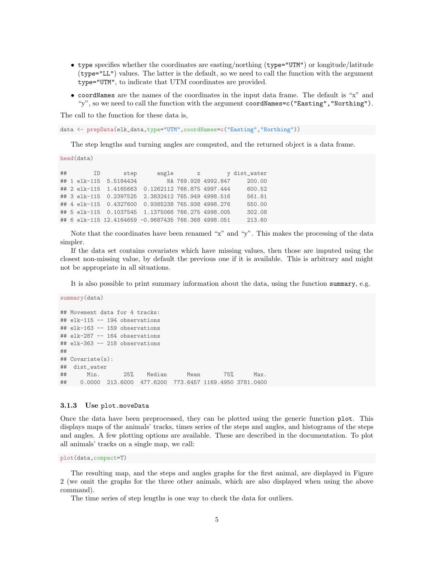- type specifies whether the coordinates are easting/northing (type="UTM") or longitude/latitude (type="LL") values. The latter is the default, so we need to call the function with the argument type="UTM", to indicate that UTM coordinates are provided.
- coordNames are the names of the coordinates in the input data frame. The default is "x" and "y", so we need to call the function with the argument coordNames=c("Easting","Northing").

The call to the function for these data is,

data <- prepData(elk\_data,type="UTM",coordNames=c("Easting","Northing"))

The step lengths and turning angles are computed, and the returned object is a data frame.

head(data)

| ## | <b>ID</b> | step                   |                                                     | angle x |                     | y dist_water |
|----|-----------|------------------------|-----------------------------------------------------|---------|---------------------|--------------|
|    |           | ## 1 elk-115 5.5184434 |                                                     |         | NA 769.928 4992.847 | 200.00       |
|    |           |                        | ## 2 elk-115 1.4165663 0.1262112 766.875 4997.444   |         |                     | 600.52       |
|    |           |                        | ## 3 elk-115 0.2397525 2.3832412 765.949 4998.516   |         |                     | 561.81       |
|    |           |                        | ## 4 elk-115 0.4327600 0.9385238 765.938 4998.276   |         |                     | 550.00       |
|    |           |                        | ## 5 elk-115 0.1037545 1.1375066 766.275 4998.005   |         |                     | 302.08       |
|    |           |                        | ## 6 elk-115 12.4164659 -0.9687435 766.368 4998.051 |         |                     | 213.60       |

Note that the coordinates have been renamed "x" and "y". This makes the processing of the data simpler.

If the data set contains covariates which have missing values, then those are imputed using the closest non-missing value, by default the previous one if it is available. This is arbitrary and might not be appropriate in all situations.

It is also possible to print summary information about the data, using the function summary, e.g.

summary(data)

## Movement data for 4 tracks: ## elk-115 -- 194 observations ## elk-163 -- 159 observations ## elk-287 -- 164 observations ## elk-363 -- 218 observations ## ## Covariate(s): ## dist\_water ## Min. 25% Median Mean 75% Max. ## 0.0000 213.6000 477.6200 773.6457 1169.4950 3781.0400

#### 3.1.3 Use plot.moveData

Once the data have been preprocessed, they can be plotted using the generic function plot. This displays maps of the animals' tracks, times series of the steps and angles, and histograms of the steps and angles. A few plotting options are available. These are described in the documentation. To plot all animals' tracks on a single map, we call:

plot(data,compact=T)

The resulting map, and the steps and angles graphs for the first animal, are displayed in Figure 2 (we omit the graphs for the three other animals, which are also displayed when using the above command).

The time series of step lengths is one way to check the data for outliers.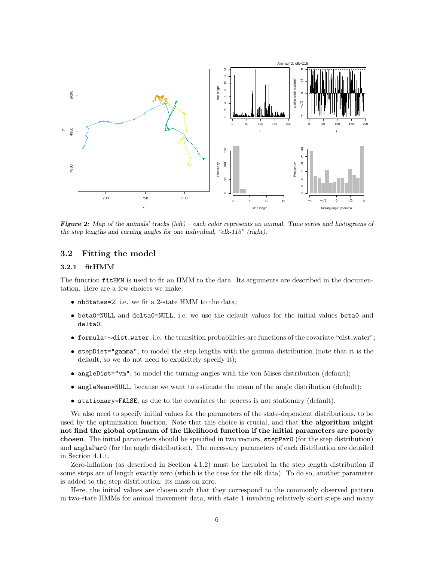

Figure 2: Map of the animals' tracks (left) – each color represents an animal. Time series and histograms of the step lengths and turning angles for one individual, "elk-115" (right).

### 3.2 Fitting the model

#### 3.2.1 fitHMM

The function fitHMM is used to fit an HMM to the data. Its arguments are described in the documentation. Here are a few choices we make:

- nbStates=2, i.e. we fit a 2-state HMM to the data;
- beta0=NULL and delta0=NULL, i.e. we use the default values for the initial values beta0 and delta0;
- formula=∼dist water, i.e. the transition probabilities are functions of the covariate "dist water";
- stepDist="gamma", to model the step lengths with the gamma distribution (note that it is the default, so we do not need to explicitely specify it);
- angleDist="vm", to model the turning angles with the von Mises distribution (default);
- angleMean=NULL, because we want to estimate the mean of the angle distribution (default);
- stationary=FALSE, as due to the covariates the process is not stationary (default).

We also need to specify initial values for the parameters of the state-dependent distributions, to be used by the optimization function. Note that this choice is crucial, and that **the algorithm might** not find the global optimum of the likelihood function if the initial parameters are poorly chosen. The initial parameters should be specified in two vectors, stepPar0 (for the step distribution) and anglePar0 (for the angle distribution). The necessary parameters of each distribution are detailed in Section 4.1.1.

Zero-inflation (as described in Section 4.1.2) must be included in the step length distribution if some steps are of length exactly zero (which is the case for the elk data). To do so, another parameter is added to the step distribution: its mass on zero.

Here, the initial values are chosen such that they correspond to the commonly observed pattern in two-state HMMs for animal movement data, with state 1 involving relatively short steps and many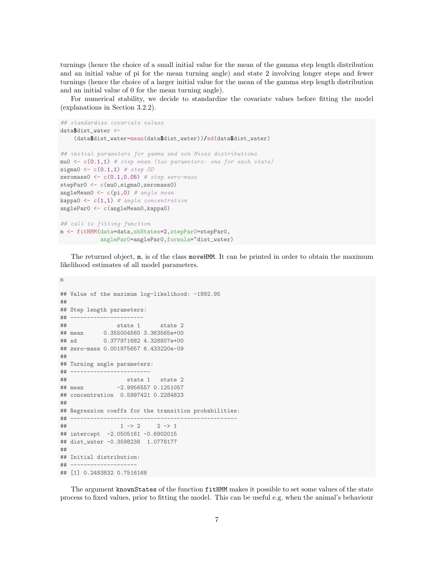turnings (hence the choice of a small initial value for the mean of the gamma step length distribution and an initial value of pi for the mean turning angle) and state 2 involving longer steps and fewer turnings (hence the choice of a larger initial value for the mean of the gamma step length distribution and an initial value of 0 for the mean turning angle).

For numerical stability, we decide to standardize the covariate values before fitting the model (explanations in Section 3.2.2).

```
## standardize covariate values
data$dist_water <-
    (data$dist_water-mean(data$dist_water))/sd(data$dist_water)
## initial parameters for gamma and von Mises distributions
mu0 \leftarrow c(0.1,1) # step mean (two parameters: one for each state)
sigma0 \leftarrow c(0.1,1) # step SD
zeromass0 \leftarrow c(0.1, 0.05) # step zero-mass
stepPar0 <- c(mu0, sigma0, zeromass0)
angleMean0 \leftarrow c(pi,0) # angle mean
kappa0 \leftarrow c(1,1) # angle concentration
anglePar0 <- c(angleMean0,kappa0)
## call to fitting function
m <- fitHMM(data=data,nbStates=2,stepPar0=stepPar0,
             anglePar0=anglePar0,formula="dist_water)
```
The returned object, m, is of the class moveHMM. It can be printed in order to obtain the maximum likelihood estimates of all model parameters.

```
## Value of the maximum log-likelihood: -1892.95
##
## Step length parameters:
## ----------------------
## state 1 state 2
## mean 0.355004560 3.363565e+00
## sd 0.377971682 4.328807e+00
## zero-mass 0.001975657 6.433220e-09
##
## Turning angle parameters:
## ------------------------
## state 1 state 2
## mean -2.9956557 0.1251057
## concentration 0.5997421 0.2284823
##
## Regression coeffs for the transition probabilities:
## --------------------------------------------------
\# \# \frac{1 - \geq 2}{2 - \geq 1}## intercept -2.0505161 -0.6902015
## dist_water -0.3598238 1.0778177
##
## Initial distribution:
## --------------------
## [1] 0.2483832 0.7516168
```
m

The argument knownStates of the function fitHMM makes it possible to set some values of the state process to fixed values, prior to fitting the model. This can be useful e.g. when the animal's behaviour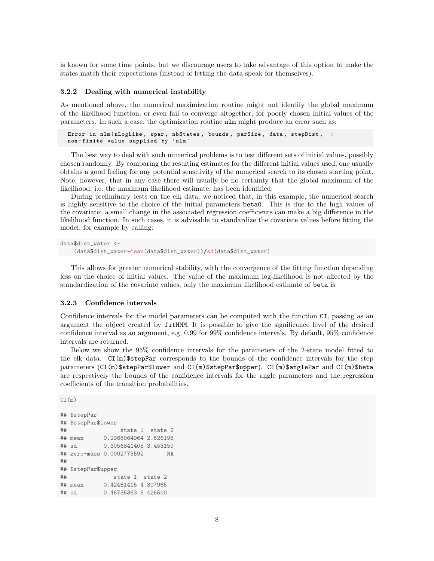is known for some time points, but we discourage users to take advantage of this option to make the states match their expectations (instead of letting the data speak for themselves).

#### 3.2.2 Dealing with numerical instability

As mentioned above, the numerical maximization routine might not identify the global maximum of the likelihood function, or even fail to converge altogether, for poorly chosen initial values of the parameters. In such a case, the optimization routine nlm might produce an error such as:

```
Error in nlm (nLogLike, wpar, nbStates, bounds, parSize, data, stepDist,
non - finite value supplied by 'nlm '
```
The best way to deal with such numerical problems is to test different sets of initial values, possibly chosen randomly. By comparing the resulting estimates for the different initial values used, one usually obtains a good feeling for any potential sensitivity of the numerical search to its chosen starting point. Note, however, that in any case there will usually be no certainty that the global maximum of the likelihood, i.e. the maximum likelihood estimate, has been identified.

During preliminary tests on the elk data, we noticed that, in this example, the numerical search is highly sensitive to the choice of the initial parameters beta0. This is due to the high values of the covariate: a small change in the associated regression coefficients can make a big difference in the likelihood function. In such cases, it is advisable to standardize the covariate values before fitting the model, for example by calling:

```
data$dist_water <-
    (data$dist_water-mean(data$dist_water))/sd(data$dist_water)
```
This allows for greater numerical stability, with the convergence of the fitting function depending less on the choice of initial values. The value of the maximum log-likelihood is not affected by the standardization of the covariate values, only the maximum likelihood estimate of beta is.

#### 3.2.3 Confidence intervals

Confidence intervals for the model parameters can be computed with the function CI, passing as an argument the object created by fitHMM. It is possible to give the significance level of the desired confidence interval as an argument, e.g. 0.99 for 99% confidence intervals. By default, 95% confidence intervals are returned.

Below we show the 95% confidence intervals for the parameters of the 2-state model fitted to the elk data. CI(m)\$stepPar corresponds to the bounds of the confidence intervals for the step parameters (CI(m)\$stepPar\$lower and CI(m)\$stepPar\$upper). CI(m)\$anglePar and CI(m)\$beta are respectively the bounds of the confidence intervals for the angle parameters and the regression coefficients of the transition probabilities.

```
CI(m)
```

```
## $stepPar
## $stepPar$lower
## state 1 state 2
## mean 0.2968064964 2.626198
## sd 0.3056841408 3.453159
## zero-mass 0.0002775592 NA
##
## $stepPar$upper
## state 1 state 2
## mean 0.42461415 4.307965
## sd 0.46735363 5.426500
```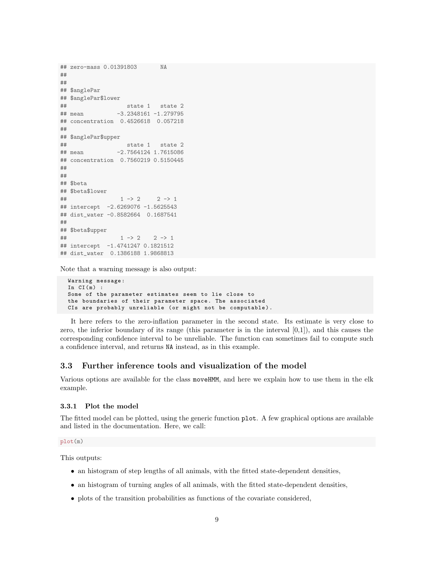```
## zero-mass 0.01391803 NA
##
##
## $anglePar
## $anglePar$lower
## state 1 state 2
## mean -3.2348161 -1.279795
## concentration 0.4526618 0.057218
##
## $anglePar$upper
## state 1 state 2
## mean -2.7564124 1.7615086
## concentration 0.7560219 0.5150445
##
##
## $beta
## $beta$lower
\# \# \frac{1}{2} \to \frac{2}{2} \to \frac{1}{2}## intercept -2.6269076 -1.5625543
## dist_water -0.8582664 0.1687541
##
## $beta$upper
\# \# \frac{1}{2} \to \frac{2}{2} \to \frac{1}{2}## intercept -1.4741247 0.1821512
## dist_water 0.1386188 1.9868813
```
Note that a warning message is also output:

```
Warning message :
In CI(m) :
Some of the parameter estimates seem to lie close to
the boundaries of their parameter space. The associated
CIs are probably unreliable (or might not be computable).
```
It here refers to the zero-inflation parameter in the second state. Its estimate is very close to zero, the inferior boundary of its range (this parameter is in the interval  $[0,1]$ ), and this causes the corresponding confidence interval to be unreliable. The function can sometimes fail to compute such a confidence interval, and returns NA instead, as in this example.

# 3.3 Further inference tools and visualization of the model

Various options are available for the class moveHMM, and here we explain how to use them in the elk example.

#### 3.3.1 Plot the model

The fitted model can be plotted, using the generic function plot. A few graphical options are available and listed in the documentation. Here, we call:

#### plot(m)

This outputs:

- an histogram of step lengths of all animals, with the fitted state-dependent densities,
- an histogram of turning angles of all animals, with the fitted state-dependent densities,
- plots of the transition probabilities as functions of the covariate considered,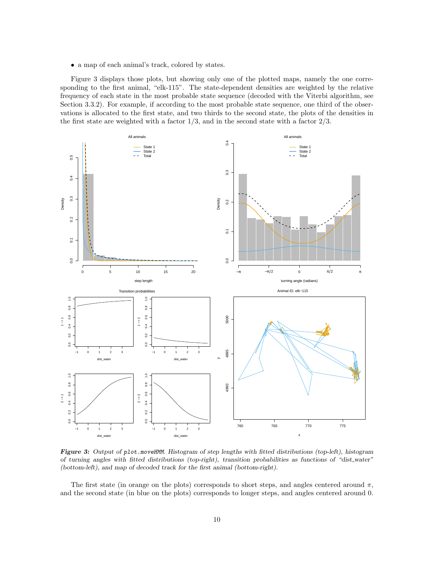• a map of each animal's track, colored by states.

Figure 3 displays those plots, but showing only one of the plotted maps, namely the one corresponding to the first animal, "elk-115". The state-dependent densities are weighted by the relative frequency of each state in the most probable state sequence (decoded with the Viterbi algorithm, see Section 3.3.2). For example, if according to the most probable state sequence, one third of the observations is allocated to the first state, and two thirds to the second state, the plots of the densities in the first state are weighted with a factor  $1/3$ , and in the second state with a factor  $2/3$ .



Figure 3: Output of plot.moveHMM. Histogram of step lengths with fitted distributions (top-left), histogram of turning angles with fitted distributions (top-right), transition probabilities as functions of "dist water" (bottom-left), and map of decoded track for the first animal (bottom-right).

The first state (in orange on the plots) corresponds to short steps, and angles centered around  $\pi$ , and the second state (in blue on the plots) corresponds to longer steps, and angles centered around 0.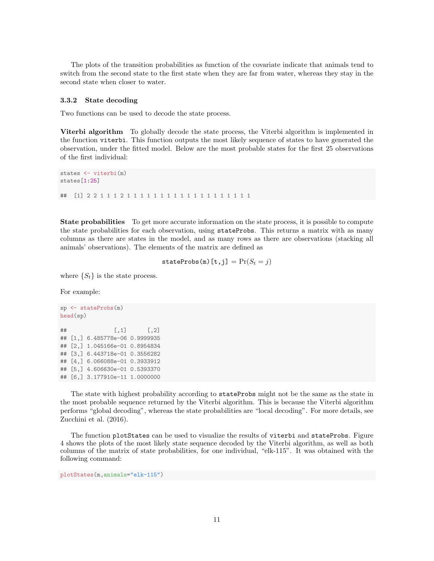The plots of the transition probabilities as function of the covariate indicate that animals tend to switch from the second state to the first state when they are far from water, whereas they stay in the second state when closer to water.

#### 3.3.2 State decoding

Two functions can be used to decode the state process.

Viterbi algorithm To globally decode the state process, the Viterbi algorithm is implemented in the function viterbi. This function outputs the most likely sequence of states to have generated the observation, under the fitted model. Below are the most probable states for the first 25 observations of the first individual:

```
states <- viterbi(m)
states[1:25]
## [1] 2 2 1 1 1 2 1 1 1 1 1 1 1 1 1 1 1 1 1 1 1 1 1 1 1
```
**State probabilities** To get more accurate information on the state process, it is possible to compute the state probabilities for each observation, using stateProbs. This returns a matrix with as many columns as there are states in the model, and as many rows as there are observations (stacking all animals' observations). The elements of the matrix are defined as

stateProbs(m)[t,j] =  $Pr(S_t = j)$ 

where  $\{S_t\}$  is the state process.

For example:

```
sp <- stateProbs(m)
head(sp)
^{\# \#} [, 1] [, 2]
## [1,] 6.485778e-06 0.9999935
## [2,] 1.045166e-01 0.8954834
## [3,] 6.443718e-01 0.3556282
## [4,] 6.066088e-01 0.3933912
## [5,] 4.606630e-01 0.5393370
## [6,] 3.177910e-11 1.0000000
```
The state with highest probability according to stateProbs might not be the same as the state in the most probable sequence returned by the Viterbi algorithm. This is because the Viterbi algorithm performs "global decoding", whereas the state probabilities are "local decoding". For more details, see Zucchini et al. (2016).

The function plotStates can be used to visualize the results of viterbi and stateProbs. Figure 4 shows the plots of the most likely state sequence decoded by the Viterbi algorithm, as well as both columns of the matrix of state probabilities, for one individual, "elk-115". It was obtained with the following command:

plotStates(m,animals="elk-115")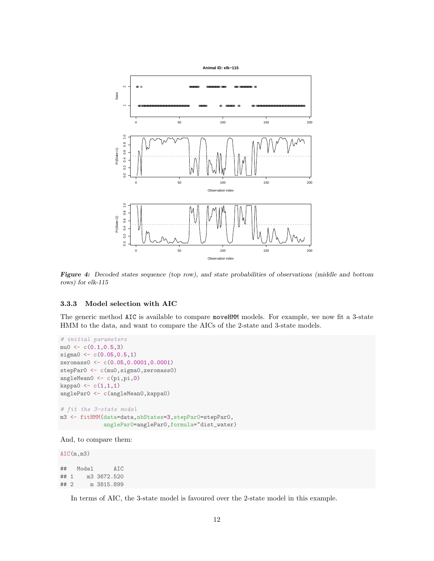

Figure 4: Decoded states sequence (top row), and state probabilities of observations (middle and bottom rows) for elk-115

### 3.3.3 Model selection with AIC

The generic method AIC is available to compare moveHMM models. For example, we now fit a 3-state HMM to the data, and want to compare the AICs of the 2-state and 3-state models.

```
# initial parameters
mu0 \leftarrow c(0.1, 0.5, 3)sigma0 < -c(0.05, 0.5, 1)zeromass0 <- c(0.05,0.0001,0.0001)
stepPar0 <- c(mu0, sigma0, zeromass0)
angleMean0 <- c(pi,pi,0)
kappa0 \leftarrow c(1,1,1)anglePar0 <- c(angleMean0,kappa0)
# fit the 3-state model
m3 <- fitHMM(data=data,nbStates=3,stepPar0=stepPar0,
              anglePar0=anglePar0,formula="dist_water)
```

```
And, to compare them:
```
AIC(m,m3) ## Model AIC ## 1 m3 3672.520 ## 2 m 3815.899

In terms of AIC, the 3-state model is favoured over the 2-state model in this example.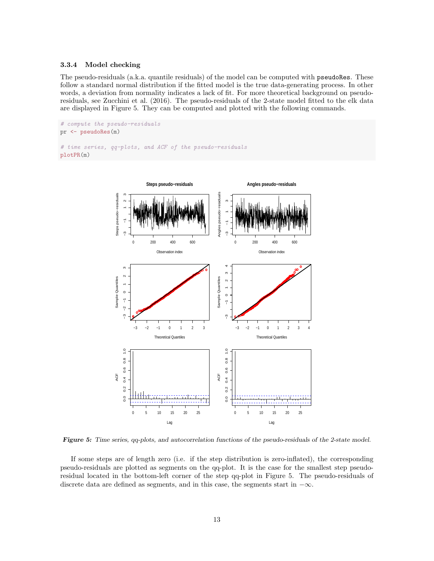#### 3.3.4 Model checking

The pseudo-residuals (a.k.a. quantile residuals) of the model can be computed with pseudoRes. These follow a standard normal distribution if the fitted model is the true data-generating process. In other words, a deviation from normality indicates a lack of fit. For more theoretical background on pseudoresiduals, see Zucchini et al. (2016). The pseudo-residuals of the 2-state model fitted to the elk data are displayed in Figure 5. They can be computed and plotted with the following commands.

```
# compute the pseudo-residuals
pr <- pseudoRes(m)
# time series, qq-plots, and ACF of the pseudo-residuals
plotPR(m)
```


Figure 5: Time series, qq-plots, and autocorrelation functions of the pseudo-residuals of the 2-state model.

If some steps are of length zero (i.e. if the step distribution is zero-inflated), the corresponding pseudo-residuals are plotted as segments on the qq-plot. It is the case for the smallest step pseudoresidual located in the bottom-left corner of the step qq-plot in Figure 5. The pseudo-residuals of discrete data are defined as segments, and in this case, the segments start in  $-\infty$ .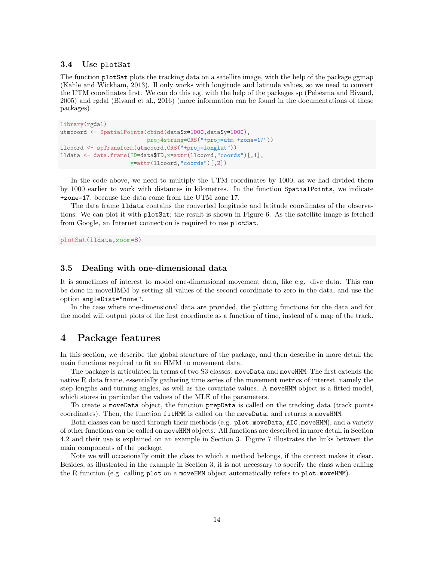### 3.4 Use plotSat

The function plotSat plots the tracking data on a satellite image, with the help of the package ggmap (Kahle and Wickham, 2013). Il only works with longitude and latitude values, so we need to convert the UTM coordinates first. We can do this e.g. with the help of the packages sp (Pebesma and Bivand, 2005) and rgdal (Bivand et al., 2016) (more information can be found in the documentations of those packages).

```
library(rgdal)
utmcoord <- SpatialPoints(cbind(data$x*1000,data$y*1000),
                          proj4string=CRS("+proj=utm +zone=17"))
llcoord <- spTransform(utmcoord,CRS("+proj=longlat"))
lldata <- data.frame(ID=data$ID,x=attr(llcoord,"coords")[,1],
                     y=attr(llcoord,"coords")[,2])
```
In the code above, we need to multiply the UTM coordinates by 1000, as we had divided them by 1000 earlier to work with distances in kilometres. In the function SpatialPoints, we indicate +zone=17, because the data come from the UTM zone 17.

The data frame lldata contains the converted longitude and latitude coordinates of the observations. We can plot it with plotSat; the result is shown in Figure 6. As the satellite image is fetched from Google, an Internet connection is required to use plotSat.

plotSat(lldata,zoom=8)

## 3.5 Dealing with one-dimensional data

It is sometimes of interest to model one-dimensional movement data, like e.g. dive data. This can be done in moveHMM by setting all values of the second coordinate to zero in the data, and use the option angleDist="none".

In the case where one-dimensional data are provided, the plotting functions for the data and for the model will output plots of the first coordinate as a function of time, instead of a map of the track.

# 4 Package features

In this section, we describe the global structure of the package, and then describe in more detail the main functions required to fit an HMM to movement data.

The package is articulated in terms of two S3 classes: moveData and moveHMM. The first extends the native R data frame, essentially gathering time series of the movement metrics of interest, namely the step lengths and turning angles, as well as the covariate values. A moveHMM object is a fitted model, which stores in particular the values of the MLE of the parameters.

To create a moveData object, the function prepData is called on the tracking data (track points coordinates). Then, the function fitHMM is called on the moveData, and returns a moveHMM.

Both classes can be used through their methods (e.g. plot.moveData, AIC.moveHMM), and a variety of other functions can be called on moveHMM objects. All functions are described in more detail in Section 4.2 and their use is explained on an example in Section 3. Figure 7 illustrates the links between the main components of the package.

Note we will occasionally omit the class to which a method belongs, if the context makes it clear. Besides, as illustrated in the example in Section 3, it is not necessary to specify the class when calling the R function (e.g. calling plot on a moveHMM object automatically refers to plot.moveHMM).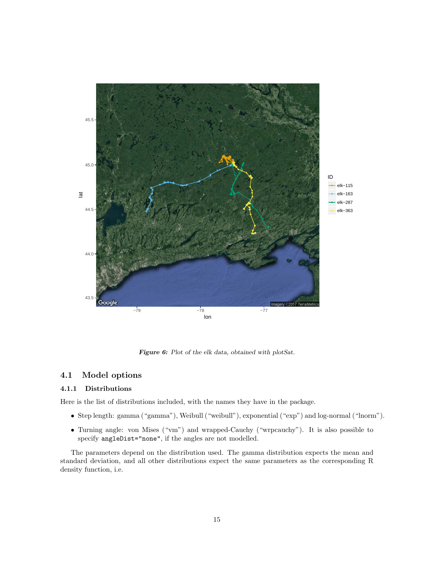

Figure 6: Plot of the elk data, obtained with plotSat.

# 4.1 Model options

### 4.1.1 Distributions

Here is the list of distributions included, with the names they have in the package.

- Step length: gamma ("gamma"), Weibull ("weibull"), exponential ("exp") and log-normal ("lnorm").
- Turning angle: von Mises ("vm") and wrapped-Cauchy ("wrpcauchy"). It is also possible to specify angleDist="none", if the angles are not modelled.

The parameters depend on the distribution used. The gamma distribution expects the mean and standard deviation, and all other distributions expect the same parameters as the corresponding R density function, i.e.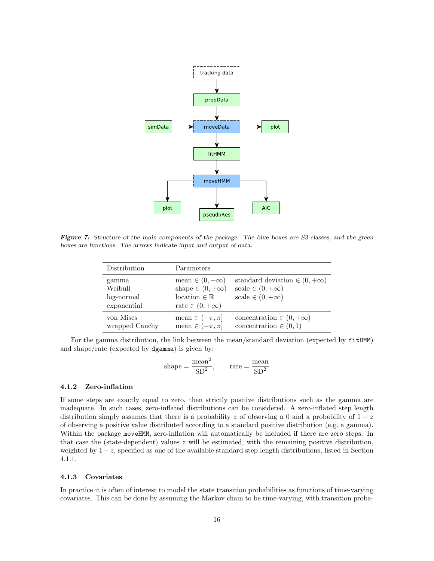

Figure 7: Structure of the main components of the package. The blue boxes are S3 classes, and the green boxes are functions. The arrows indicate input and output of data.

| Distribution                                  | Parameters                                                                                                  |                                                                                               |
|-----------------------------------------------|-------------------------------------------------------------------------------------------------------------|-----------------------------------------------------------------------------------------------|
| gamma<br>Weibull<br>log-normal<br>exponential | mean $\in (0, +\infty)$<br>shape $\in (0, +\infty)$<br>location $\in \mathbb{R}$<br>rate $\in (0, +\infty)$ | standard deviation $\in (0, +\infty)$<br>scale $\in (0, +\infty)$<br>scale $\in (0, +\infty)$ |
| von Mises<br>wrapped Cauchy                   | mean $\in (-\pi, \pi]$<br>mean $\in (-\pi, \pi]$                                                            | concentration $\in (0, +\infty)$<br>concentration $\in (0,1)$                                 |

For the gamma distribution, the link between the mean/standard deviation (expected by fitHMM) and shape/rate (expected by dgamma) is given by:

shape = 
$$
\frac{\text{mean}^2}{SD^2}
$$
, rate =  $\frac{\text{mean}}{SD^2}$ 

#### 4.1.2 Zero-inflation

If some steps are exactly equal to zero, then strictly positive distributions such as the gamma are inadequate. In such cases, zero-inflated distributions can be considered. A zero-inflated step length distribution simply assumes that there is a probability z of observing a 0 and a probability of  $1-z$ of observing a positive value distributed according to a standard positive distribution (e.g. a gamma). Within the package moveHMM, zero-inflation will automatically be included if there are zero steps. In that case the (state-dependent) values  $z$  will be estimated, with the remaining positive distribution, weighted by  $1-z$ , specified as one of the available standard step length distributions, listed in Section 4.1.1.

#### 4.1.3 Covariates

In practice it is often of interest to model the state transition probabilities as functions of time-varying covariates. This can be done by assuming the Markov chain to be time-varying, with transition proba-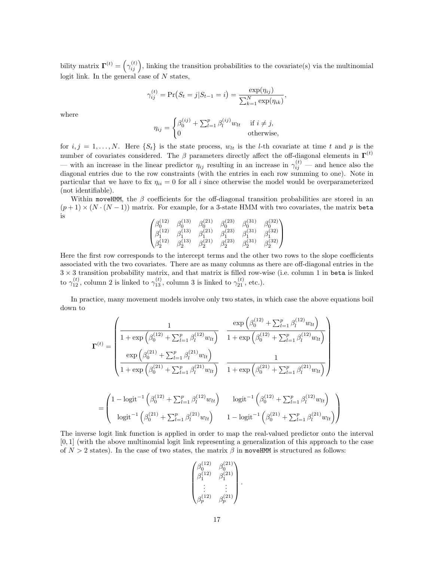bility matrix  $\mathbf{\Gamma}^{(t)} = \left(\gamma_{ij}^{(t)}\right)$ , linking the transition probabilities to the covariate(s) via the multinomial logit link. In the general case of  $N$  states,

$$
\gamma_{ij}^{(t)} = \Pr(S_t = j | S_{t-1} = i) = \frac{\exp(\eta_{ij})}{\sum_{k=1}^{N} \exp(\eta_{ik})},
$$

where

$$
\eta_{ij} = \begin{cases} \beta_0^{(ij)} + \sum_{l=1}^p \beta_l^{(ij)} w_{lt} & \text{if } i \neq j, \\ 0 & \text{otherwise,} \end{cases}
$$

for  $i, j = 1, \ldots, N$ . Here  $\{S_t\}$  is the state process,  $w_{lt}$  is the *l*-th covariate at time t and p is the number of covariates considered. The  $\beta$  parameters directly affect the off-diagonal elements in  $\Gamma^{(t)}$ — with an increase in the linear predictor  $\eta_{ij}$  resulting in an increase in  $\gamma_{ij}^{(t)}$  — and hence also the diagonal entries due to the row constraints (with the entries in each row summing to one). Note in particular that we have to fix  $\eta_{ii} = 0$  for all i since otherwise the model would be overparameterized (not identifiable).

Within moveHMM, the  $\beta$  coefficients for the off-diagonal transition probabilities are stored in an  $(p+1) \times (N \cdot (N-1))$  matrix. For example, for a 3-state HMM with two covariates, the matrix beta is

$$
\begin{pmatrix} \beta_0^{(12)} & \beta_0^{(13)} & \beta_0^{(21)} & \beta_0^{(23)} & \beta_0^{(31)} & \beta_0^{(32)} \\ \beta_1^{(12)} & \beta_1^{(13)} & \beta_1^{(21)} & \beta_1^{(23)} & \beta_1^{(31)} & \beta_1^{(32)} \\ \beta_2^{(12)} & \beta_2^{(13)} & \beta_2^{(21)} & \beta_2^{(23)} & \beta_2^{(31)} & \beta_2^{(32)} \end{pmatrix}
$$

Here the first row corresponds to the intercept terms and the other two rows to the slope coefficients associated with the two covariates. There are as many columns as there are off-diagonal entries in the  $3 \times 3$  transition probability matrix, and that matrix is filled row-wise (i.e. column 1 in beta is linked to  $\gamma_{12}^{(t)}$ , column 2 is linked to  $\gamma_{13}^{(t)}$ , column 3 is linked to  $\gamma_{21}^{(t)}$ , etc.).

In practice, many movement models involve only two states, in which case the above equations boil down to

$$
\mathbf{\Gamma}^{(t)} = \begin{pmatrix}\n1 & \exp\left(\beta_0^{(12)} + \sum_{l=1}^p \beta_l^{(12)} w_{lt}\right) \\
1 + \exp\left(\beta_0^{(12)} + \sum_{l=1}^p \beta_l^{(12)} w_{lt}\right) & 1 + \exp\left(\beta_0^{(12)} + \sum_{l=1}^p \beta_l^{(12)} w_{lt}\right) \\
\exp\left(\beta_0^{(21)} + \sum_{l=1}^p \beta_l^{(21)} w_{lt}\right) & 1\n\end{pmatrix} \\
= \begin{pmatrix}\n1 - \logit^{-1}\left(\beta_0^{(12)} + \sum_{l=1}^p \beta_l^{(21)} w_{lt}\right) & \logit^{-1}\left(\beta_0^{(21)} + \sum_{l=1}^p \beta_l^{(21)} w_{lt}\right) \\
\logit^{-1}\left(\beta_0^{(12)} + \sum_{l=1}^p \beta_l^{(12)} w_{lt}\right) & \logit^{-1}\left(\beta_0^{(12)} + \sum_{l=1}^p \beta_l^{(12)} w_{lt}\right) \\
\logit^{-1}\left(\beta_0^{(21)} + \sum_{l=1}^p \beta_l^{(21)} w_{lt}\right) & 1 - \logit^{-1}\left(\beta_0^{(21)} + \sum_{l=1}^p \beta_l^{(21)} w_{lt}\right)\n\end{pmatrix}
$$

The inverse logit link function is applied in order to map the real-valued predictor onto the interval [0, 1] (with the above multinomial logit link representing a generalization of this approach to the case of  $N > 2$  states). In the case of two states, the matrix  $\beta$  in moveHMM is structured as follows:

$$
\begin{pmatrix} \beta_0^{(12)} & \beta_0^{(21)} \\ \beta_1^{(12)} & \beta_1^{(21)} \\ \vdots & \vdots \\ \beta_p^{(12)} & \beta_p^{(21)} \end{pmatrix}.
$$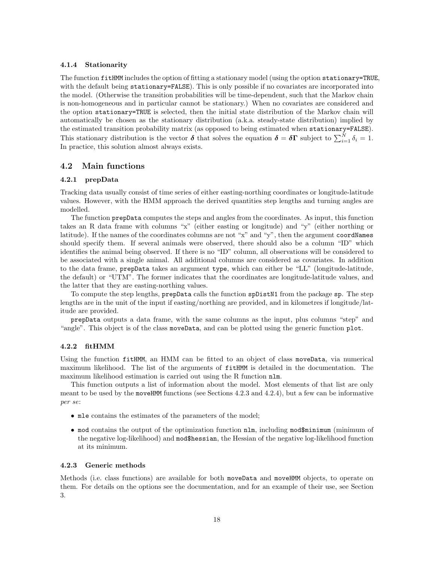#### 4.1.4 Stationarity

The function fitHMM includes the option of fitting a stationary model (using the option stationary=TRUE, with the default being stationary=FALSE). This is only possible if no covariates are incorporated into the model. (Otherwise the transition probabilities will be time-dependent, such that the Markov chain is non-homogeneous and in particular cannot be stationary.) When no covariates are considered and the option stationary=TRUE is selected, then the initial state distribution of the Markov chain will automatically be chosen as the stationary distribution (a.k.a. steady-state distribution) implied by the estimated transition probability matrix (as opposed to being estimated when stationary=FALSE). This stationary distribution is the vector  $\delta$  that solves the equation  $\delta = \delta \Gamma$  subject to  $\sum_{i=1}^{N} \delta_i = 1$ . In practice, this solution almost always exists.

### 4.2 Main functions

#### 4.2.1 prepData

Tracking data usually consist of time series of either easting-northing coordinates or longitude-latitude values. However, with the HMM approach the derived quantities step lengths and turning angles are modelled.

The function prepData computes the steps and angles from the coordinates. As input, this function takes an R data frame with columns "x" (either easting or longitude) and "y" (either northing or latitude). If the names of the coordinates columns are not "x" and "y", then the argument coordNames should specify them. If several animals were observed, there should also be a column "ID" which identifies the animal being observed. If there is no "ID" column, all observations will be considered to be associated with a single animal. All additional columns are considered as covariates. In addition to the data frame, prepData takes an argument type, which can either be "LL" (longitude-latitude, the default) or "UTM". The former indicates that the coordinates are longitude-latitude values, and the latter that they are easting-northing values.

To compute the step lengths, prepData calls the function spDistN1 from the package sp. The step lengths are in the unit of the input if easting/northing are provided, and in kilometres if longitude/latitude are provided.

prepData outputs a data frame, with the same columns as the input, plus columns "step" and "angle". This object is of the class moveData, and can be plotted using the generic function plot.

#### 4.2.2 fitHMM

Using the function fitHMM, an HMM can be fitted to an object of class moveData, via numerical maximum likelihood. The list of the arguments of fitHMM is detailed in the documentation. The maximum likelihood estimation is carried out using the R function nlm.

This function outputs a list of information about the model. Most elements of that list are only meant to be used by the moveHMM functions (see Sections 4.2.3 and 4.2.4), but a few can be informative *per se*:

- mle contains the estimates of the parameters of the model;
- mod contains the output of the optimization function nlm, including mod\$minimum (minimum of the negative log-likelihood) and mod\$hessian, the Hessian of the negative log-likelihood function at its minimum.

#### 4.2.3 Generic methods

Methods (i.e. class functions) are available for both moveData and moveHMM objects, to operate on them. For details on the options see the documentation, and for an example of their use, see Section 3.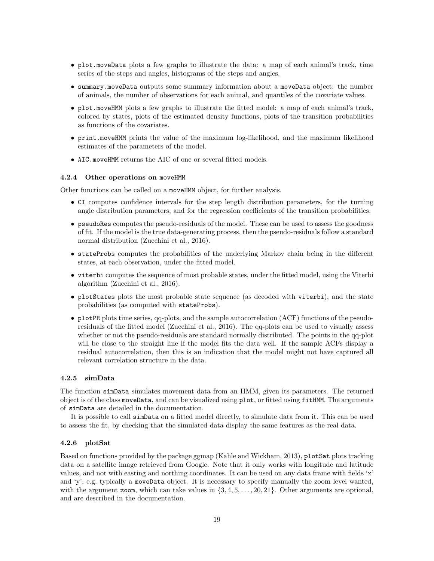- plot.moveData plots a few graphs to illustrate the data: a map of each animal's track, time series of the steps and angles, histograms of the steps and angles.
- summary.moveData outputs some summary information about a moveData object: the number of animals, the number of observations for each animal, and quantiles of the covariate values.
- plot.moveHMM plots a few graphs to illustrate the fitted model: a map of each animal's track, colored by states, plots of the estimated density functions, plots of the transition probabilities as functions of the covariates.
- print.moveHMM prints the value of the maximum log-likelihood, and the maximum likelihood estimates of the parameters of the model.
- AIC.moveHMM returns the AIC of one or several fitted models.

#### 4.2.4 Other operations on moveHMM

Other functions can be called on a moveHMM object, for further analysis.

- CI computes confidence intervals for the step length distribution parameters, for the turning angle distribution parameters, and for the regression coefficients of the transition probabilities.
- pseudoRes computes the pseudo-residuals of the model. These can be used to assess the goodness of fit. If the model is the true data-generating process, then the pseudo-residuals follow a standard normal distribution (Zucchini et al., 2016).
- stateProbs computes the probabilities of the underlying Markov chain being in the different states, at each observation, under the fitted model.
- viterbi computes the sequence of most probable states, under the fitted model, using the Viterbi algorithm (Zucchini et al., 2016).
- plotStates plots the most probable state sequence (as decoded with viterbi), and the state probabilities (as computed with stateProbs).
- plotPR plots time series, qq-plots, and the sample autocorrelation (ACF) functions of the pseudoresiduals of the fitted model (Zucchini et al., 2016). The qq-plots can be used to visually assess whether or not the pseudo-residuals are standard normally distributed. The points in the qq-plot will be close to the straight line if the model fits the data well. If the sample ACFs display a residual autocorrelation, then this is an indication that the model might not have captured all relevant correlation structure in the data.

### 4.2.5 simData

The function simData simulates movement data from an HMM, given its parameters. The returned object is of the class moveData, and can be visualized using plot, or fitted using fitHMM. The arguments of simData are detailed in the documentation.

It is possible to call simData on a fitted model directly, to simulate data from it. This can be used to assess the fit, by checking that the simulated data display the same features as the real data.

#### 4.2.6 plotSat

Based on functions provided by the package ggmap (Kahle and Wickham, 2013), plotSat plots tracking data on a satellite image retrieved from Google. Note that it only works with longitude and latitude values, and not with easting and northing coordinates. It can be used on any data frame with fields 'x' and 'y', e.g. typically a moveData object. It is necessary to specify manually the zoom level wanted, with the argument zoom, which can take values in  $\{3, 4, 5, \ldots, 20, 21\}$ . Other arguments are optional, and are described in the documentation.